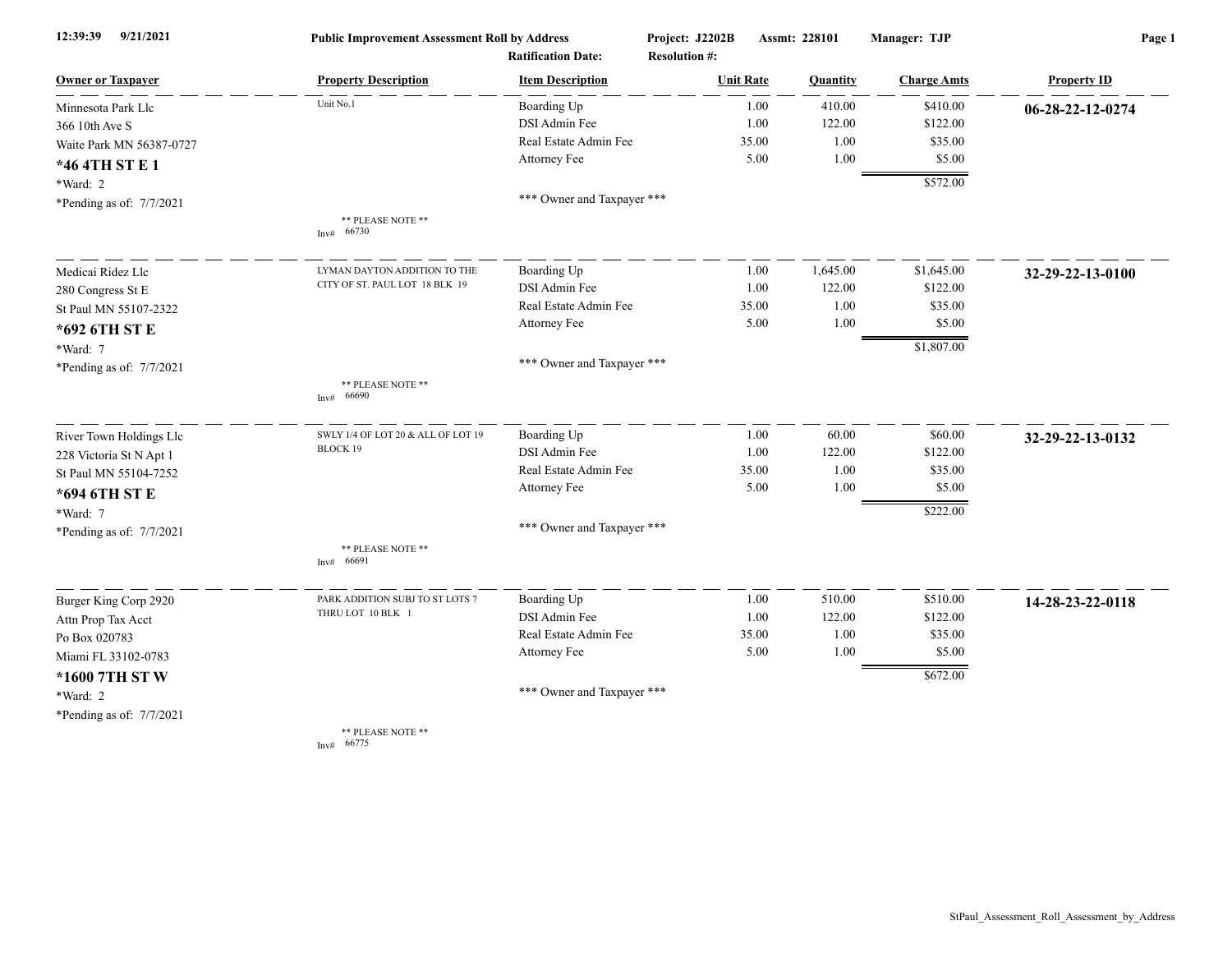| 12:39:39<br>9/21/2021    | <b>Public Improvement Assessment Roll by Address</b> |                                                      | Project: J2202B                          | Assmt: 228101 |          | Manager: TJP       | Page 1             |  |
|--------------------------|------------------------------------------------------|------------------------------------------------------|------------------------------------------|---------------|----------|--------------------|--------------------|--|
| <b>Owner or Taxpayer</b> | <b>Property Description</b>                          | <b>Ratification Date:</b><br><b>Item Description</b> | <b>Resolution #:</b><br><b>Unit Rate</b> |               | Quantity | <b>Charge Amts</b> | <b>Property ID</b> |  |
| Minnesota Park Llc       | Unit No.1                                            | Boarding Up                                          |                                          | 1.00          | 410.00   | \$410.00           | 06-28-22-12-0274   |  |
| 366 10th Ave S           |                                                      | DSI Admin Fee                                        |                                          | 1.00          | 122.00   | \$122.00           |                    |  |
| Waite Park MN 56387-0727 |                                                      | Real Estate Admin Fee                                |                                          | 35.00         | 1.00     | \$35.00            |                    |  |
| *46 4TH ST E 1           |                                                      | Attorney Fee                                         |                                          | 5.00          | 1.00     | \$5.00             |                    |  |
| *Ward: 2                 |                                                      |                                                      |                                          |               |          | \$572.00           |                    |  |
| *Pending as of: 7/7/2021 |                                                      | *** Owner and Taxpayer ***                           |                                          |               |          |                    |                    |  |
|                          | ** PLEASE NOTE **<br>Inv# 66730                      |                                                      |                                          |               |          |                    |                    |  |
| Medicai Ridez Llc        | LYMAN DAYTON ADDITION TO THE                         | Boarding Up                                          |                                          | 1.00          | 1,645.00 | \$1,645.00         | 32-29-22-13-0100   |  |
| 280 Congress St E        | CITY OF ST. PAUL LOT 18 BLK 19                       | <b>DSI</b> Admin Fee                                 |                                          | 1.00          | 122.00   | \$122.00           |                    |  |
| St Paul MN 55107-2322    |                                                      | Real Estate Admin Fee                                |                                          | 35.00         | 1.00     | \$35.00            |                    |  |
| *692 6TH ST E            |                                                      | Attorney Fee                                         |                                          | 5.00          | 1.00     | \$5.00             |                    |  |
| *Ward: 7                 |                                                      |                                                      |                                          |               |          | \$1,807.00         |                    |  |
| *Pending as of: 7/7/2021 |                                                      | *** Owner and Taxpayer ***                           |                                          |               |          |                    |                    |  |
|                          | ** PLEASE NOTE **<br>66690<br>Inv#                   |                                                      |                                          |               |          |                    |                    |  |
| River Town Holdings Llc  | SWLY 1/4 OF LOT 20 & ALL OF LOT 19                   | Boarding Up                                          |                                          | 1.00          | 60.00    | \$60.00            | 32-29-22-13-0132   |  |
| 228 Victoria St N Apt 1  | <b>BLOCK 19</b>                                      | DSI Admin Fee                                        |                                          | 1.00          | 122.00   | \$122.00           |                    |  |
| St Paul MN 55104-7252    |                                                      | Real Estate Admin Fee                                |                                          | 35.00         | 1.00     | \$35.00            |                    |  |
| *694 6TH ST E            |                                                      | Attorney Fee                                         |                                          | 5.00          | 1.00     | \$5.00             |                    |  |
| *Ward: 7                 |                                                      |                                                      |                                          |               |          | \$222.00           |                    |  |
| *Pending as of: 7/7/2021 |                                                      | *** Owner and Taxpayer ***                           |                                          |               |          |                    |                    |  |
|                          | ** PLEASE NOTE **<br>Inv# 66691                      |                                                      |                                          |               |          |                    |                    |  |
| Burger King Corp 2920    | PARK ADDITION SUBJ TO ST LOTS 7                      | Boarding Up                                          |                                          | 1.00          | 510.00   | \$510.00           | 14-28-23-22-0118   |  |
| Attn Prop Tax Acct       | THRU LOT 10 BLK 1                                    | DSI Admin Fee                                        |                                          | 1.00          | 122.00   | \$122.00           |                    |  |
| Po Box 020783            |                                                      | Real Estate Admin Fee                                |                                          | 35.00         | 1.00     | \$35.00            |                    |  |
| Miami FL 33102-0783      |                                                      | Attorney Fee                                         |                                          | 5.00          | 1.00     | \$5.00             |                    |  |
| *1600 7TH ST W           |                                                      |                                                      |                                          |               |          | \$672.00           |                    |  |
| *Ward: 2                 |                                                      | *** Owner and Taxpayer ***                           |                                          |               |          |                    |                    |  |
| *Pending as of: 7/7/2021 |                                                      |                                                      |                                          |               |          |                    |                    |  |
|                          | ** PLEASE NOTE **<br>Inv# 66775                      |                                                      |                                          |               |          |                    |                    |  |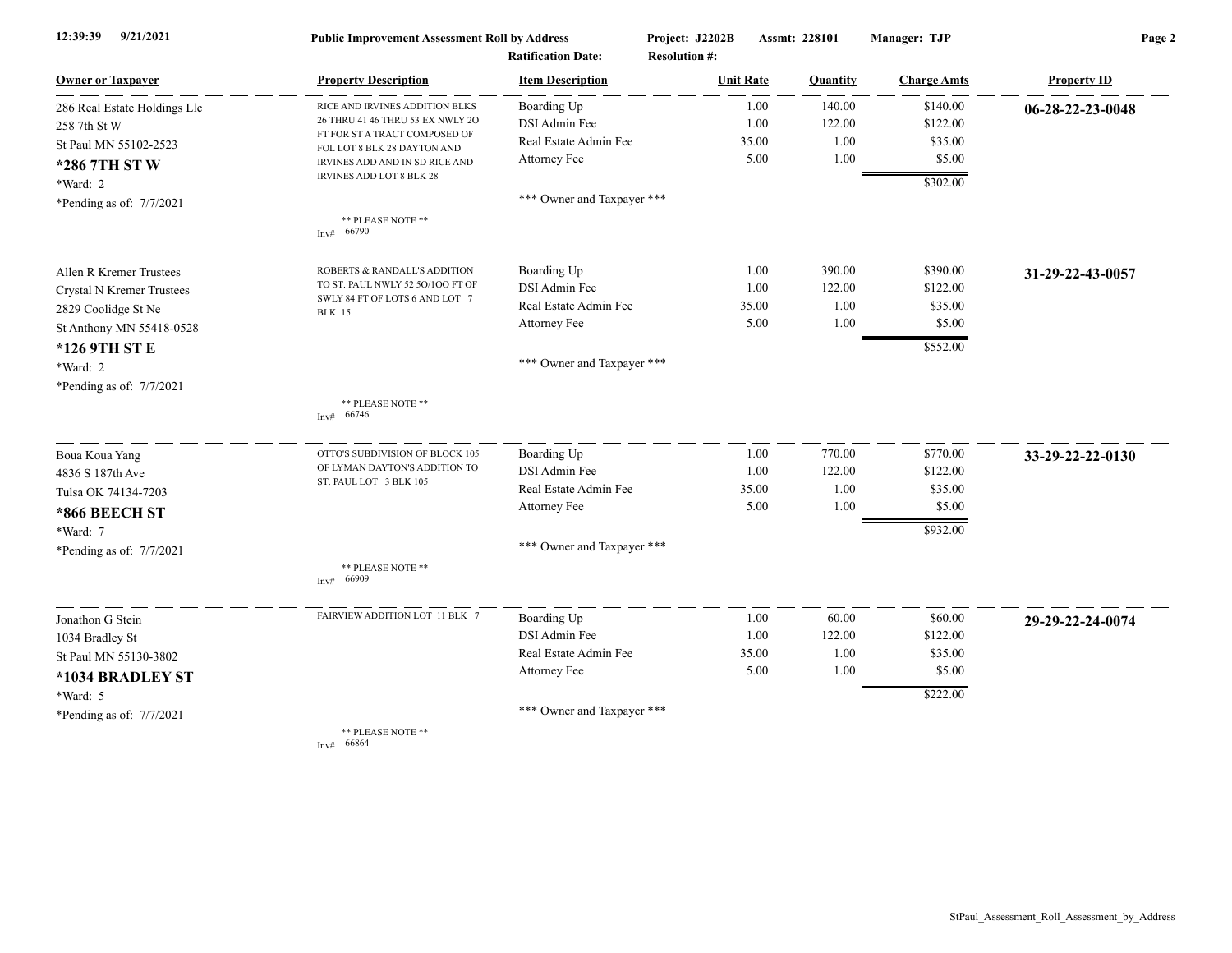| 12:39:39<br>9/21/2021        | <b>Public Improvement Assessment Roll by Address</b>         |                            | Project: J2202B      | Assmt: 228101 | Manager: TJP       | Page 2             |  |
|------------------------------|--------------------------------------------------------------|----------------------------|----------------------|---------------|--------------------|--------------------|--|
|                              | <b>Ratification Date:</b>                                    |                            | <b>Resolution #:</b> |               |                    |                    |  |
| <b>Owner or Taxpayer</b>     | <b>Property Description</b>                                  | <b>Item Description</b>    | <b>Unit Rate</b>     | Quantity      | <b>Charge Amts</b> | <b>Property ID</b> |  |
| 286 Real Estate Holdings Llc | RICE AND IRVINES ADDITION BLKS                               | Boarding Up                | 1.00                 | 140.00        | \$140.00           | 06-28-22-23-0048   |  |
| 258 7th St W                 | 26 THRU 41 46 THRU 53 EX NWLY 2O                             | DSI Admin Fee              | 1.00                 | 122.00        | \$122.00           |                    |  |
| St Paul MN 55102-2523        | FT FOR ST A TRACT COMPOSED OF<br>FOL LOT 8 BLK 28 DAYTON AND | Real Estate Admin Fee      | 35.00                | 1.00          | \$35.00            |                    |  |
| *286 7TH ST W                | IRVINES ADD AND IN SD RICE AND                               | Attorney Fee               | 5.00                 | 1.00          | \$5.00             |                    |  |
| *Ward: 2                     | IRVINES ADD LOT 8 BLK 28                                     |                            |                      |               | \$302.00           |                    |  |
| *Pending as of: 7/7/2021     |                                                              | *** Owner and Taxpayer *** |                      |               |                    |                    |  |
|                              | ** PLEASE NOTE **<br>Inv# 66790                              |                            |                      |               |                    |                    |  |
| Allen R Kremer Trustees      | ROBERTS & RANDALL'S ADDITION                                 | Boarding Up                | 1.00                 | 390.00        | \$390.00           | 31-29-22-43-0057   |  |
| Crystal N Kremer Trustees    | TO ST. PAUL NWLY 52 50/100 FT OF                             | DSI Admin Fee              | 1.00                 | 122.00        | \$122.00           |                    |  |
| 2829 Coolidge St Ne          | SWLY 84 FT OF LOTS 6 AND LOT 7<br><b>BLK</b> 15              | Real Estate Admin Fee      | 35.00                | 1.00          | \$35.00            |                    |  |
| St Anthony MN 55418-0528     |                                                              | Attorney Fee               | 5.00                 | 1.00          | \$5.00             |                    |  |
| *126 9TH ST E                |                                                              |                            |                      |               | \$552.00           |                    |  |
| *Ward: 2                     |                                                              | *** Owner and Taxpayer *** |                      |               |                    |                    |  |
| *Pending as of: 7/7/2021     |                                                              |                            |                      |               |                    |                    |  |
|                              | ** PLEASE NOTE **<br>66746<br>Inv#                           |                            |                      |               |                    |                    |  |
| Boua Koua Yang               | OTTO'S SUBDIVISION OF BLOCK 105                              | Boarding Up                | 1.00                 | 770.00        | \$770.00           | 33-29-22-22-0130   |  |
| 4836 S 187th Ave             | OF LYMAN DAYTON'S ADDITION TO<br>ST. PAUL LOT 3 BLK 105      | DSI Admin Fee              | 1.00                 | 122.00        | \$122.00           |                    |  |
| Tulsa OK 74134-7203          |                                                              | Real Estate Admin Fee      | 35.00                | 1.00          | \$35.00            |                    |  |
| *866 BEECH ST                |                                                              | Attorney Fee               | 5.00                 | 1.00          | \$5.00             |                    |  |
| *Ward: 7                     |                                                              |                            |                      |               | \$932.00           |                    |  |
| *Pending as of: $7/7/2021$   |                                                              | *** Owner and Taxpayer *** |                      |               |                    |                    |  |
|                              | ** PLEASE NOTE **<br>66909<br>Inv#                           |                            |                      |               |                    |                    |  |
| Jonathon G Stein             | FAIRVIEW ADDITION LOT 11 BLK 7                               | Boarding Up                | 1.00                 | 60.00         | \$60.00            | 29-29-22-24-0074   |  |
| 1034 Bradley St              |                                                              | DSI Admin Fee              | 1.00                 | 122.00        | \$122.00           |                    |  |
| St Paul MN 55130-3802        |                                                              | Real Estate Admin Fee      | 35.00                | 1.00          | \$35.00            |                    |  |
| *1034 BRADLEY ST             |                                                              | Attorney Fee               | 5.00                 | 1.00          | \$5.00             |                    |  |
| *Ward: 5                     |                                                              |                            |                      |               | \$222.00           |                    |  |
| *Pending as of: 7/7/2021     |                                                              | *** Owner and Taxpayer *** |                      |               |                    |                    |  |
|                              | ** PLEASE NOTE **<br>Inv# 66864                              |                            |                      |               |                    |                    |  |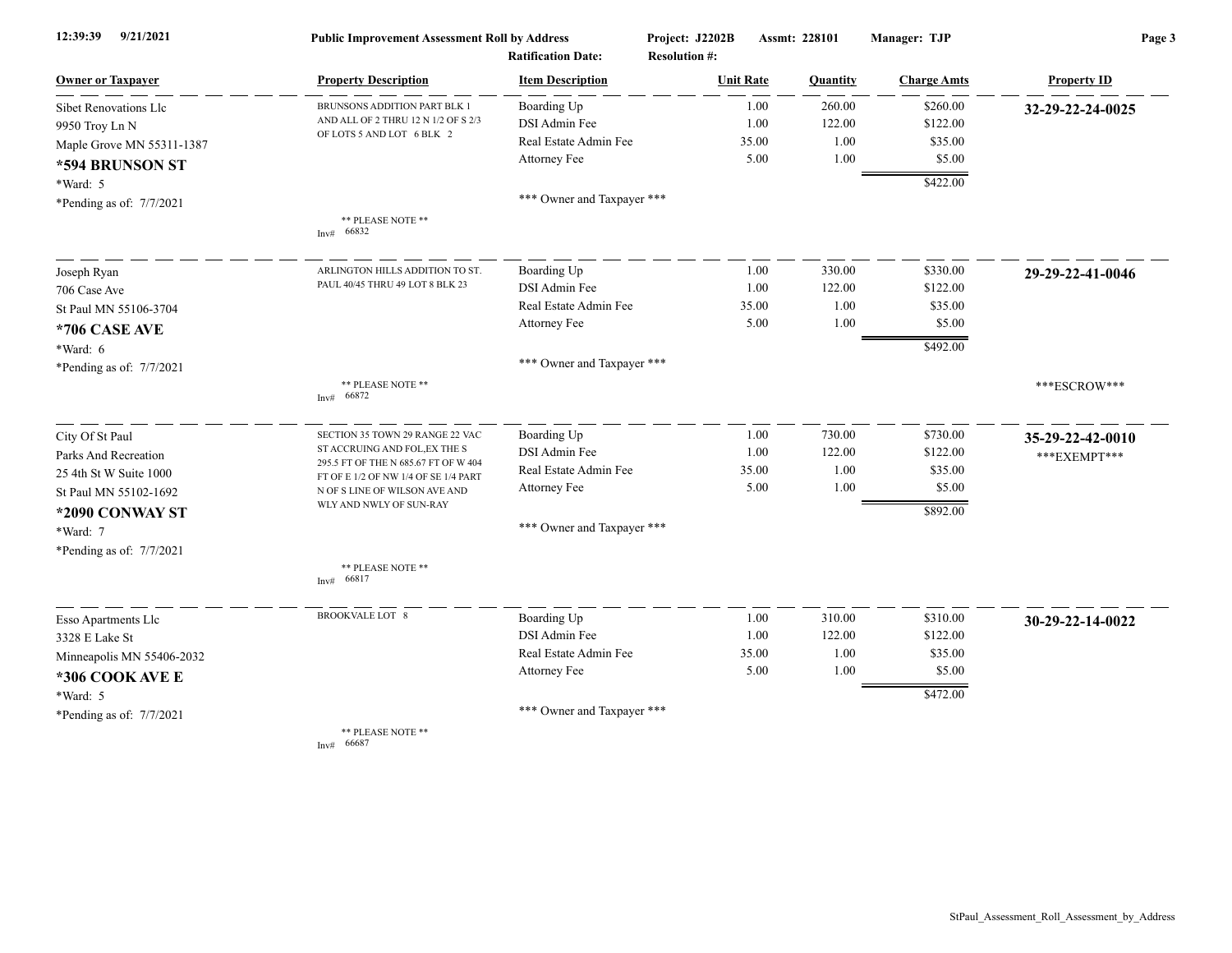| 9/21/2021<br>12:39:39     | <b>Public Improvement Assessment Roll by Address</b><br><b>Ratification Date:</b> |                            | Project: J2202B<br><b>Resolution #:</b> | Assmt: 228101  | Manager: TJP       | Page 3             |
|---------------------------|-----------------------------------------------------------------------------------|----------------------------|-----------------------------------------|----------------|--------------------|--------------------|
| <b>Owner or Taxpayer</b>  | <b>Property Description</b>                                                       | <b>Item Description</b>    | <b>Unit Rate</b>                        | Quantity       | <b>Charge Amts</b> | <b>Property ID</b> |
| Sibet Renovations Llc     | BRUNSONS ADDITION PART BLK 1                                                      | Boarding Up                |                                         | 1.00<br>260.00 | \$260.00           | 32-29-22-24-0025   |
| 9950 Troy Ln N            | AND ALL OF 2 THRU 12 N 1/2 OF S 2/3                                               | DSI Admin Fee              |                                         | 1.00<br>122.00 | \$122.00           |                    |
| Maple Grove MN 55311-1387 | OF LOTS 5 AND LOT 6 BLK 2                                                         | Real Estate Admin Fee      |                                         | 35.00          | 1.00<br>\$35.00    |                    |
| *594 BRUNSON ST           |                                                                                   | Attorney Fee               |                                         | 5.00           | 1.00<br>\$5.00     |                    |
| *Ward: 5                  |                                                                                   |                            |                                         |                | \$422.00           |                    |
| *Pending as of: 7/7/2021  |                                                                                   | *** Owner and Taxpayer *** |                                         |                |                    |                    |
|                           | ** PLEASE NOTE **<br>Inv# 66832                                                   |                            |                                         |                |                    |                    |
| Joseph Ryan               | ARLINGTON HILLS ADDITION TO ST.                                                   | Boarding Up                |                                         | 330.00<br>1.00 | \$330.00           | 29-29-22-41-0046   |
| 706 Case Ave              | PAUL 40/45 THRU 49 LOT 8 BLK 23                                                   | DSI Admin Fee              |                                         | 1.00<br>122.00 | \$122.00           |                    |
| St Paul MN 55106-3704     |                                                                                   | Real Estate Admin Fee      |                                         | 35.00          | 1.00<br>\$35.00    |                    |
| *706 CASE AVE             |                                                                                   | Attorney Fee               |                                         | 5.00           | 1.00<br>\$5.00     |                    |
| *Ward: 6                  |                                                                                   |                            |                                         |                | \$492.00           |                    |
| *Pending as of: 7/7/2021  |                                                                                   | *** Owner and Taxpayer *** |                                         |                |                    |                    |
|                           | ** PLEASE NOTE **<br>66872<br>Inv#                                                |                            |                                         |                |                    | ***ESCROW***       |
| City Of St Paul           | SECTION 35 TOWN 29 RANGE 22 VAC                                                   | Boarding Up                |                                         | 730.00<br>1.00 | \$730.00           | 35-29-22-42-0010   |
| Parks And Recreation      | ST ACCRUING AND FOL, EX THE S                                                     | DSI Admin Fee              |                                         | 1.00<br>122.00 | \$122.00           | *** EXEMPT***      |
| 25 4th St W Suite 1000    | 295.5 FT OF THE N 685.67 FT OF W 404<br>FT OF E 1/2 OF NW 1/4 OF SE 1/4 PART      | Real Estate Admin Fee      |                                         | 35.00          | \$35.00<br>1.00    |                    |
| St Paul MN 55102-1692     | N OF S LINE OF WILSON AVE AND                                                     | Attorney Fee               |                                         | 5.00           | 1.00<br>\$5.00     |                    |
| *2090 CONWAY ST           | WLY AND NWLY OF SUN-RAY                                                           |                            |                                         |                | \$892.00           |                    |
| *Ward: 7                  |                                                                                   | *** Owner and Taxpayer *** |                                         |                |                    |                    |
| *Pending as of: 7/7/2021  |                                                                                   |                            |                                         |                |                    |                    |
|                           | ** PLEASE NOTE **<br>66817<br>Inv#                                                |                            |                                         |                |                    |                    |
| Esso Apartments Llc       | BROOKVALE LOT 8                                                                   | Boarding Up                |                                         | 1.00<br>310.00 | \$310.00           | 30-29-22-14-0022   |
| 3328 E Lake St            |                                                                                   | DSI Admin Fee              |                                         | 122.00<br>1.00 | \$122.00           |                    |
| Minneapolis MN 55406-2032 |                                                                                   | Real Estate Admin Fee      |                                         | 35.00          | 1.00<br>\$35.00    |                    |
| *306 COOK AVE E           |                                                                                   | Attorney Fee               |                                         | 5.00           | 1.00<br>\$5.00     |                    |
| *Ward: 5                  |                                                                                   |                            |                                         |                | \$472.00           |                    |
| *Pending as of: 7/7/2021  |                                                                                   | *** Owner and Taxpayer *** |                                         |                |                    |                    |
|                           | ** PLEASE NOTE **                                                                 |                            |                                         |                |                    |                    |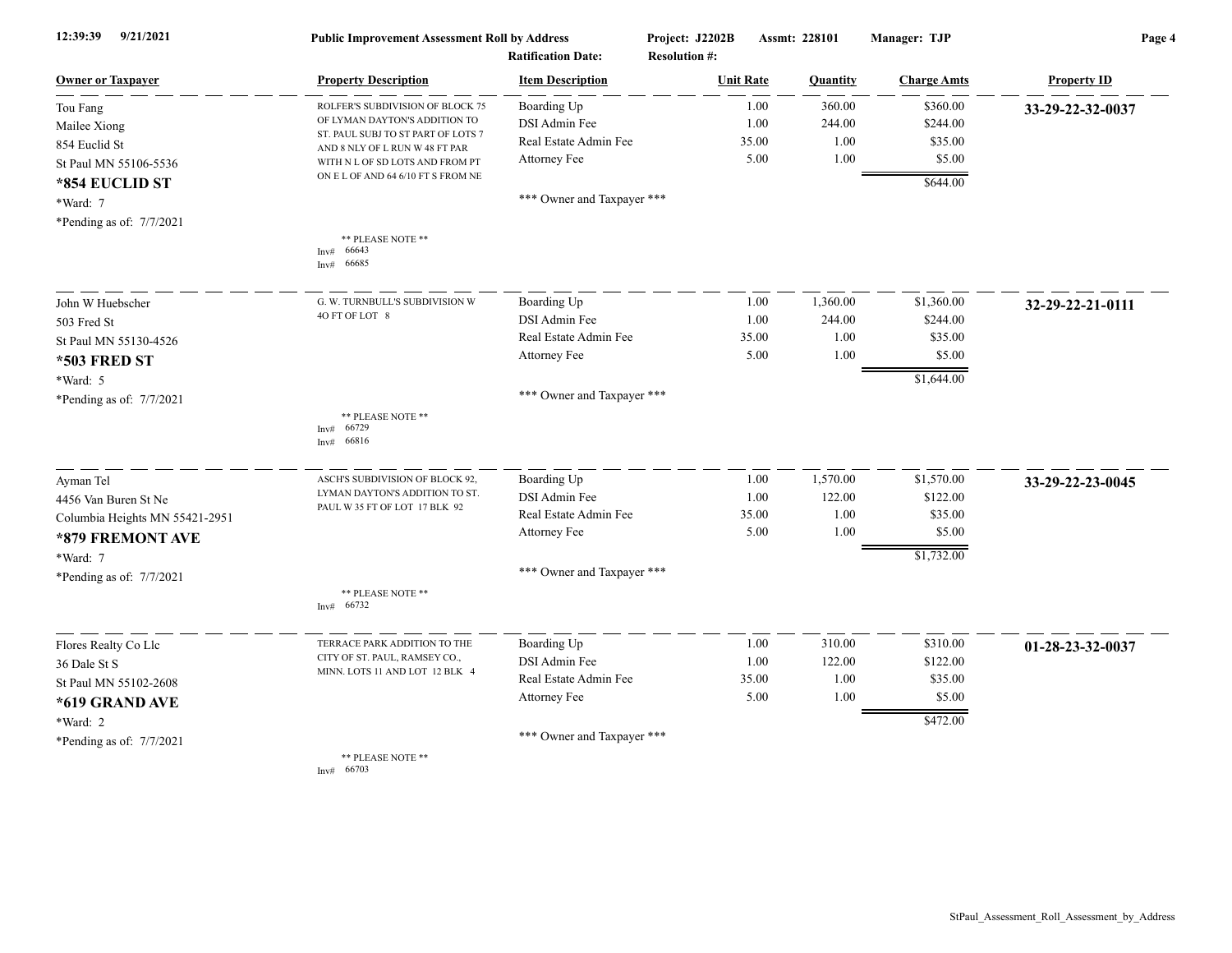| 12:39:39<br>9/21/2021          | <b>Public Improvement Assessment Roll by Address</b><br><b>Ratification Date:</b> |                            | Project: J2202B<br><b>Resolution #:</b> | Assmt: 228101 |          | Manager: TJP       | Page 4             |  |
|--------------------------------|-----------------------------------------------------------------------------------|----------------------------|-----------------------------------------|---------------|----------|--------------------|--------------------|--|
| <b>Owner or Taxpayer</b>       | <b>Property Description</b>                                                       | <b>Item Description</b>    | <b>Unit Rate</b>                        |               | Quantity | <b>Charge Amts</b> | <b>Property ID</b> |  |
| Tou Fang                       | ROLFER'S SUBDIVISION OF BLOCK 75                                                  | Boarding Up                |                                         | 1.00          | 360.00   | \$360.00           | 33-29-22-32-0037   |  |
| Mailee Xiong                   | OF LYMAN DAYTON'S ADDITION TO                                                     | DSI Admin Fee              |                                         | 1.00          | 244.00   | \$244.00           |                    |  |
| 854 Euclid St                  | ST. PAUL SUBJ TO ST PART OF LOTS 7<br>AND 8 NLY OF L RUN W 48 FT PAR              | Real Estate Admin Fee      |                                         | 35.00         | 1.00     | \$35.00            |                    |  |
| St Paul MN 55106-5536          | WITH N L OF SD LOTS AND FROM PT                                                   | Attorney Fee               |                                         | 5.00          | 1.00     | \$5.00             |                    |  |
| *854 EUCLID ST                 | ON E L OF AND 64 6/10 FT S FROM NE                                                |                            |                                         |               |          | \$644.00           |                    |  |
| *Ward: 7                       |                                                                                   | *** Owner and Taxpayer *** |                                         |               |          |                    |                    |  |
| *Pending as of: 7/7/2021       |                                                                                   |                            |                                         |               |          |                    |                    |  |
|                                | ** PLEASE NOTE **                                                                 |                            |                                         |               |          |                    |                    |  |
|                                | 66643<br>Inv#<br>66685<br>Inv#                                                    |                            |                                         |               |          |                    |                    |  |
| John W Huebscher               | G. W. TURNBULL'S SUBDIVISION W                                                    | Boarding Up                |                                         | 1.00          | 1,360.00 | \$1,360.00         | 32-29-22-21-0111   |  |
| 503 Fred St                    | 4O FT OF LOT 8                                                                    | DSI Admin Fee              |                                         | 1.00          | 244.00   | \$244.00           |                    |  |
| St Paul MN 55130-4526          |                                                                                   | Real Estate Admin Fee      |                                         | 35.00         | 1.00     | \$35.00            |                    |  |
| <b>*503 FRED ST</b>            |                                                                                   | Attorney Fee               |                                         | 5.00          | 1.00     | \$5.00             |                    |  |
| *Ward: 5                       |                                                                                   |                            |                                         |               |          | \$1,644.00         |                    |  |
| *Pending as of: 7/7/2021       |                                                                                   | *** Owner and Taxpayer *** |                                         |               |          |                    |                    |  |
|                                | ** PLEASE NOTE **                                                                 |                            |                                         |               |          |                    |                    |  |
|                                | 66729<br>Inv#<br>66816<br>Inv#                                                    |                            |                                         |               |          |                    |                    |  |
| Ayman Tel                      | ASCH'S SUBDIVISION OF BLOCK 92,                                                   | Boarding Up                |                                         | 1.00          | 1,570.00 | \$1,570.00         | 33-29-22-23-0045   |  |
| 4456 Van Buren St Ne           | LYMAN DAYTON'S ADDITION TO ST.                                                    | DSI Admin Fee              |                                         | 1.00          | 122.00   | \$122.00           |                    |  |
| Columbia Heights MN 55421-2951 | PAUL W 35 FT OF LOT 17 BLK 92                                                     | Real Estate Admin Fee      |                                         | 35.00         | 1.00     | \$35.00            |                    |  |
| *879 FREMONT AVE               |                                                                                   | Attorney Fee               |                                         | 5.00          | 1.00     | \$5.00             |                    |  |
| *Ward: 7                       |                                                                                   |                            |                                         |               |          | \$1,732.00         |                    |  |
| *Pending as of: 7/7/2021       |                                                                                   | *** Owner and Taxpayer *** |                                         |               |          |                    |                    |  |
|                                | ** PLEASE NOTE **<br>66732<br>Inv#                                                |                            |                                         |               |          |                    |                    |  |
| Flores Realty Co Llc           | TERRACE PARK ADDITION TO THE                                                      | Boarding Up                |                                         | 1.00          | 310.00   | \$310.00           | 01-28-23-32-0037   |  |
| 36 Dale St S                   | CITY OF ST. PAUL, RAMSEY CO.,                                                     | DSI Admin Fee              |                                         | 1.00          | 122.00   | \$122.00           |                    |  |
| St Paul MN 55102-2608          | MINN. LOTS 11 AND LOT 12 BLK 4                                                    | Real Estate Admin Fee      |                                         | 35.00         | 1.00     | \$35.00            |                    |  |
| *619 GRAND AVE                 |                                                                                   | Attorney Fee               |                                         | 5.00          | 1.00     | \$5.00             |                    |  |
| *Ward: 2                       |                                                                                   |                            |                                         |               |          | \$472.00           |                    |  |
| *Pending as of: 7/7/2021       |                                                                                   | *** Owner and Taxpayer *** |                                         |               |          |                    |                    |  |
|                                | ** PLEASE NOTE **<br>Inv# 66703                                                   |                            |                                         |               |          |                    |                    |  |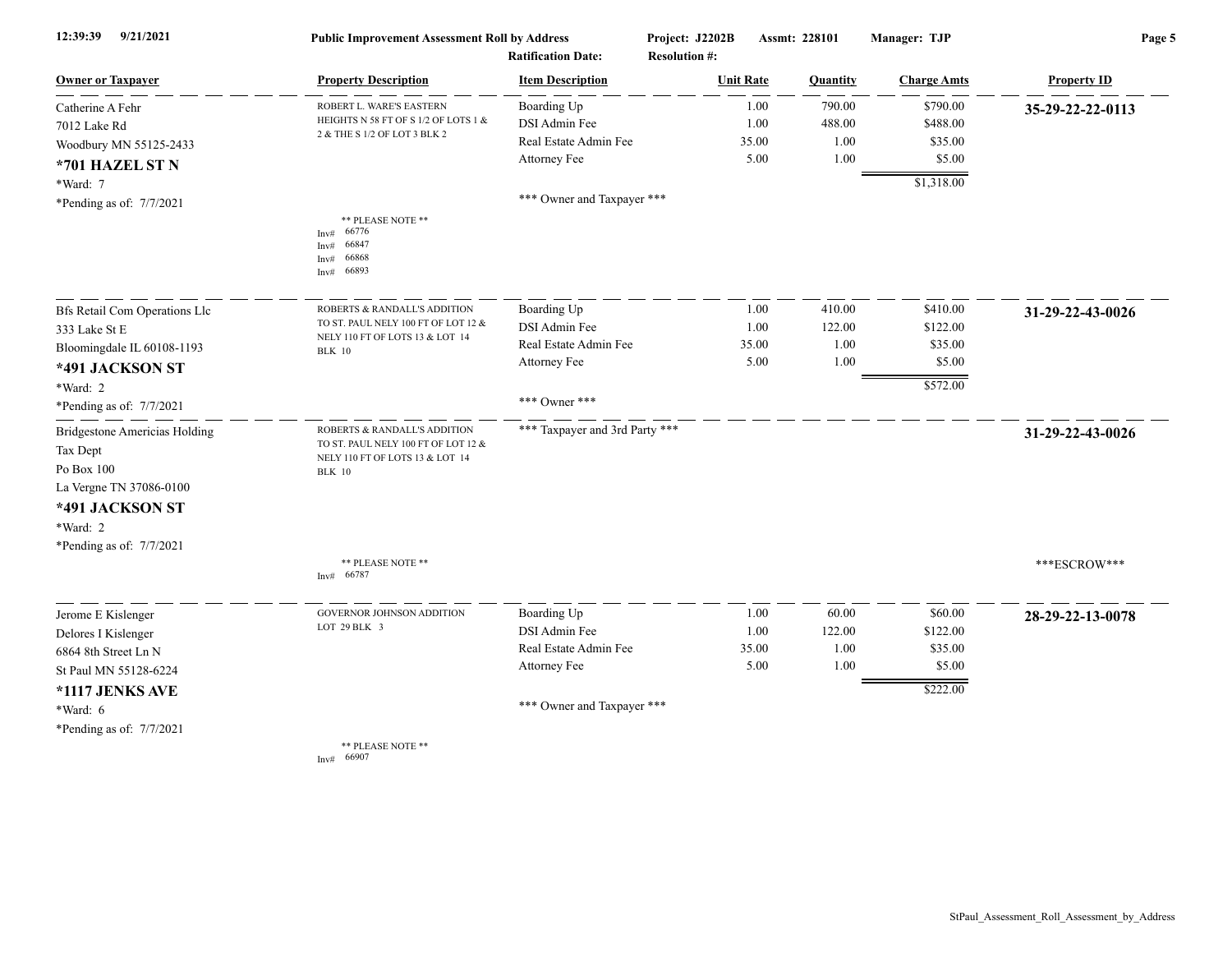| 9/21/2021<br>12:39:39                | <b>Public Improvement Assessment Roll by Address</b>                                  |                                | Project: J2202B      | Assmt: 228101 | Manager: TJP       | Page 5             |  |
|--------------------------------------|---------------------------------------------------------------------------------------|--------------------------------|----------------------|---------------|--------------------|--------------------|--|
|                                      | <b>Ratification Date:</b>                                                             |                                | <b>Resolution #:</b> |               |                    |                    |  |
| <b>Owner or Taxpayer</b>             | <b>Property Description</b>                                                           | <b>Item Description</b>        | <b>Unit Rate</b>     | Quantity      | <b>Charge Amts</b> | <b>Property ID</b> |  |
| Catherine A Fehr                     | ROBERT L. WARE'S EASTERN                                                              | Boarding Up                    | 1.00                 | 790.00        | \$790.00           | 35-29-22-22-0113   |  |
| 7012 Lake Rd                         | HEIGHTS N 58 FT OF S 1/2 OF LOTS 1 &                                                  | DSI Admin Fee                  | 1.00                 | 488.00        | \$488.00           |                    |  |
| Woodbury MN 55125-2433               | 2 & THE S 1/2 OF LOT 3 BLK 2                                                          | Real Estate Admin Fee          | 35.00                | 1.00          | \$35.00            |                    |  |
| *701 HAZEL ST N                      |                                                                                       | Attorney Fee                   | 5.00                 | 1.00          | \$5.00             |                    |  |
| *Ward: 7                             |                                                                                       |                                |                      |               | \$1,318.00         |                    |  |
| *Pending as of: 7/7/2021             |                                                                                       | *** Owner and Taxpayer ***     |                      |               |                    |                    |  |
|                                      | ** PLEASE NOTE **<br>66776<br>Inv#<br>66847<br>Inv#<br>66868<br>Inv#<br>66893<br>Inv# |                                |                      |               |                    |                    |  |
| <b>Bfs Retail Com Operations Llc</b> | ROBERTS & RANDALL'S ADDITION                                                          | Boarding Up                    | 1.00                 | 410.00        | \$410.00           | 31-29-22-43-0026   |  |
| 333 Lake St E                        | TO ST. PAUL NELY 100 FT OF LOT 12 &                                                   | DSI Admin Fee                  | 1.00                 | 122.00        | \$122.00           |                    |  |
| Bloomingdale IL 60108-1193           | NELY 110 FT OF LOTS 13 & LOT 14<br><b>BLK</b> 10                                      | Real Estate Admin Fee          | 35.00                | 1.00          | \$35.00            |                    |  |
| *491 JACKSON ST                      |                                                                                       | Attorney Fee                   | 5.00                 | 1.00          | \$5.00             |                    |  |
| *Ward: 2                             |                                                                                       |                                |                      |               | \$572.00           |                    |  |
| *Pending as of: 7/7/2021             |                                                                                       | *** Owner ***                  |                      |               |                    |                    |  |
| <b>Bridgestone Americias Holding</b> | ROBERTS & RANDALL'S ADDITION                                                          | *** Taxpayer and 3rd Party *** |                      |               |                    | 31-29-22-43-0026   |  |
| Tax Dept                             | TO ST. PAUL NELY 100 FT OF LOT 12 &<br>NELY 110 FT OF LOTS 13 & LOT 14                |                                |                      |               |                    |                    |  |
| Po Box $100$                         | <b>BLK</b> 10                                                                         |                                |                      |               |                    |                    |  |
| La Vergne TN 37086-0100              |                                                                                       |                                |                      |               |                    |                    |  |
| *491 JACKSON ST                      |                                                                                       |                                |                      |               |                    |                    |  |
| *Ward: 2                             |                                                                                       |                                |                      |               |                    |                    |  |
| *Pending as of: $7/7/2021$           |                                                                                       |                                |                      |               |                    |                    |  |
|                                      | ** PLEASE NOTE **<br>66787<br>Inv#                                                    |                                |                      |               |                    | ***ESCROW***       |  |
| Jerome E Kislenger                   | GOVERNOR JOHNSON ADDITION                                                             | Boarding Up                    | 1.00                 | 60.00         | \$60.00            | 28-29-22-13-0078   |  |
| Delores I Kislenger                  | LOT 29 BLK 3                                                                          | DSI Admin Fee                  | 1.00                 | 122.00        | \$122.00           |                    |  |
| 6864 8th Street Ln N                 |                                                                                       | Real Estate Admin Fee          | 35.00                | 1.00          | \$35.00            |                    |  |
| St Paul MN 55128-6224                |                                                                                       | Attorney Fee                   | 5.00                 | 1.00          | \$5.00             |                    |  |
| *1117 JENKS AVE                      |                                                                                       |                                |                      |               | \$222.00           |                    |  |
| *Ward: 6                             |                                                                                       | *** Owner and Taxpayer ***     |                      |               |                    |                    |  |
| *Pending as of: 7/7/2021             |                                                                                       |                                |                      |               |                    |                    |  |
|                                      | ** PLEASE NOTE **                                                                     |                                |                      |               |                    |                    |  |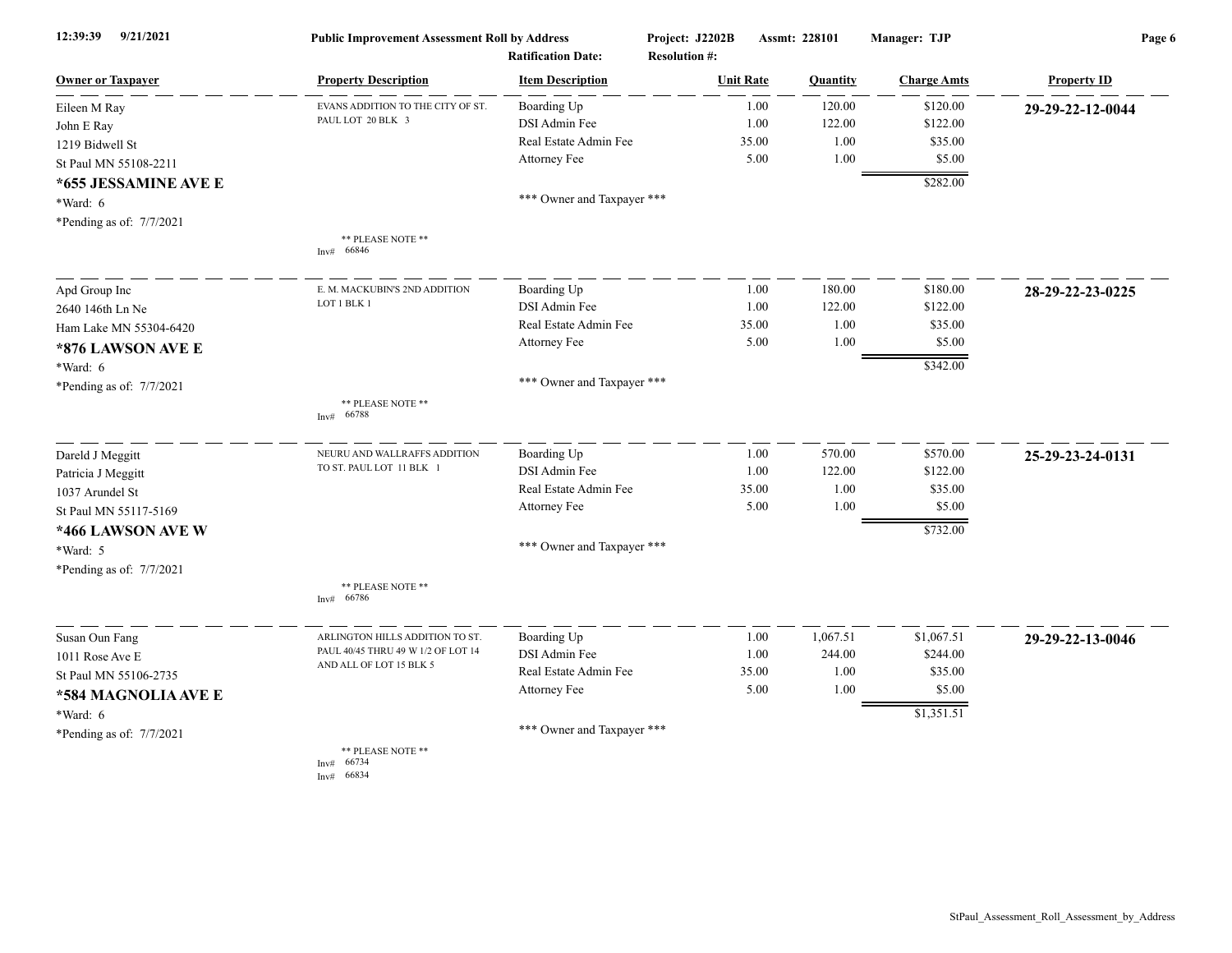| 12:39:39<br>9/21/2021      | <b>Public Improvement Assessment Roll by Address</b><br><b>Ratification Date:</b> |                            | Project: J2202B<br><b>Resolution #:</b> | Assmt: 228101 |          | Manager: TJP       | Page 6             |  |
|----------------------------|-----------------------------------------------------------------------------------|----------------------------|-----------------------------------------|---------------|----------|--------------------|--------------------|--|
| <b>Owner or Taxpayer</b>   | <b>Property Description</b>                                                       | <b>Item Description</b>    | <b>Unit Rate</b>                        |               | Quantity | <b>Charge Amts</b> | <b>Property ID</b> |  |
| Eileen M Ray               | EVANS ADDITION TO THE CITY OF ST.                                                 | Boarding Up                |                                         | 1.00          | 120.00   | \$120.00           | 29-29-22-12-0044   |  |
| John E Ray                 | PAUL LOT 20 BLK 3                                                                 | DSI Admin Fee              |                                         | 1.00          | 122.00   | \$122.00           |                    |  |
| 1219 Bidwell St            |                                                                                   | Real Estate Admin Fee      |                                         | 35.00         | 1.00     | \$35.00            |                    |  |
| St Paul MN 55108-2211      |                                                                                   | Attorney Fee               |                                         | 5.00          | 1.00     | \$5.00             |                    |  |
| *655 JESSAMINE AVE E       |                                                                                   |                            |                                         |               |          | \$282.00           |                    |  |
| *Ward: 6                   |                                                                                   | *** Owner and Taxpayer *** |                                         |               |          |                    |                    |  |
| *Pending as of: $7/7/2021$ |                                                                                   |                            |                                         |               |          |                    |                    |  |
|                            | ** PLEASE NOTE **                                                                 |                            |                                         |               |          |                    |                    |  |
|                            | 66846<br>Inv#                                                                     |                            |                                         |               |          |                    |                    |  |
| Apd Group Inc              | E. M. MACKUBIN'S 2ND ADDITION                                                     | Boarding Up                |                                         | 1.00          | 180.00   | \$180.00           | 28-29-22-23-0225   |  |
| 2640 146th Ln Ne           | LOT 1 BLK 1                                                                       | DSI Admin Fee              |                                         | 1.00          | 122.00   | \$122.00           |                    |  |
| Ham Lake MN 55304-6420     |                                                                                   | Real Estate Admin Fee      |                                         | 35.00         | 1.00     | \$35.00            |                    |  |
| *876 LAWSON AVE E          |                                                                                   | Attorney Fee               |                                         | 5.00          | 1.00     | \$5.00             |                    |  |
| *Ward: 6                   |                                                                                   |                            |                                         |               |          | \$342.00           |                    |  |
| *Pending as of: $7/7/2021$ |                                                                                   | *** Owner and Taxpayer *** |                                         |               |          |                    |                    |  |
|                            | ** PLEASE NOTE **<br>66788<br>Inv#                                                |                            |                                         |               |          |                    |                    |  |
| Dareld J Meggitt           | NEURU AND WALLRAFFS ADDITION                                                      | Boarding Up                |                                         | 1.00          | 570.00   | \$570.00           | 25-29-23-24-0131   |  |
| Patricia J Meggitt         | TO ST. PAUL LOT 11 BLK 1                                                          | DSI Admin Fee              |                                         | 1.00          | 122.00   | \$122.00           |                    |  |
| 1037 Arundel St            |                                                                                   | Real Estate Admin Fee      |                                         | 35.00         | 1.00     | \$35.00            |                    |  |
| St Paul MN 55117-5169      |                                                                                   | Attorney Fee               |                                         | 5.00          | 1.00     | \$5.00             |                    |  |
| *466 LAWSON AVE W          |                                                                                   |                            |                                         |               |          | \$732.00           |                    |  |
| *Ward: 5                   |                                                                                   | *** Owner and Taxpayer *** |                                         |               |          |                    |                    |  |
| *Pending as of: 7/7/2021   |                                                                                   |                            |                                         |               |          |                    |                    |  |
|                            | ** PLEASE NOTE **<br>66786<br>Inv#                                                |                            |                                         |               |          |                    |                    |  |
| Susan Oun Fang             | ARLINGTON HILLS ADDITION TO ST.                                                   | Boarding Up                |                                         | 1.00          | 1,067.51 | \$1,067.51         | 29-29-22-13-0046   |  |
| 1011 Rose Ave E            | PAUL 40/45 THRU 49 W 1/2 OF LOT 14                                                | DSI Admin Fee              |                                         | 1.00          | 244.00   | \$244.00           |                    |  |
| St Paul MN 55106-2735      | AND ALL OF LOT 15 BLK 5                                                           | Real Estate Admin Fee      |                                         | 35.00         | 1.00     | \$35.00            |                    |  |
| *584 MAGNOLIA AVE E        |                                                                                   | Attorney Fee               |                                         | 5.00          | 1.00     | \$5.00             |                    |  |
| *Ward: 6                   |                                                                                   |                            |                                         |               |          | \$1,351.51         |                    |  |
| *Pending as of: 7/7/2021   |                                                                                   | *** Owner and Taxpayer *** |                                         |               |          |                    |                    |  |
|                            | ** PLEASE NOTE **<br>66734<br>Inv#<br>66834<br>Inv#                               |                            |                                         |               |          |                    |                    |  |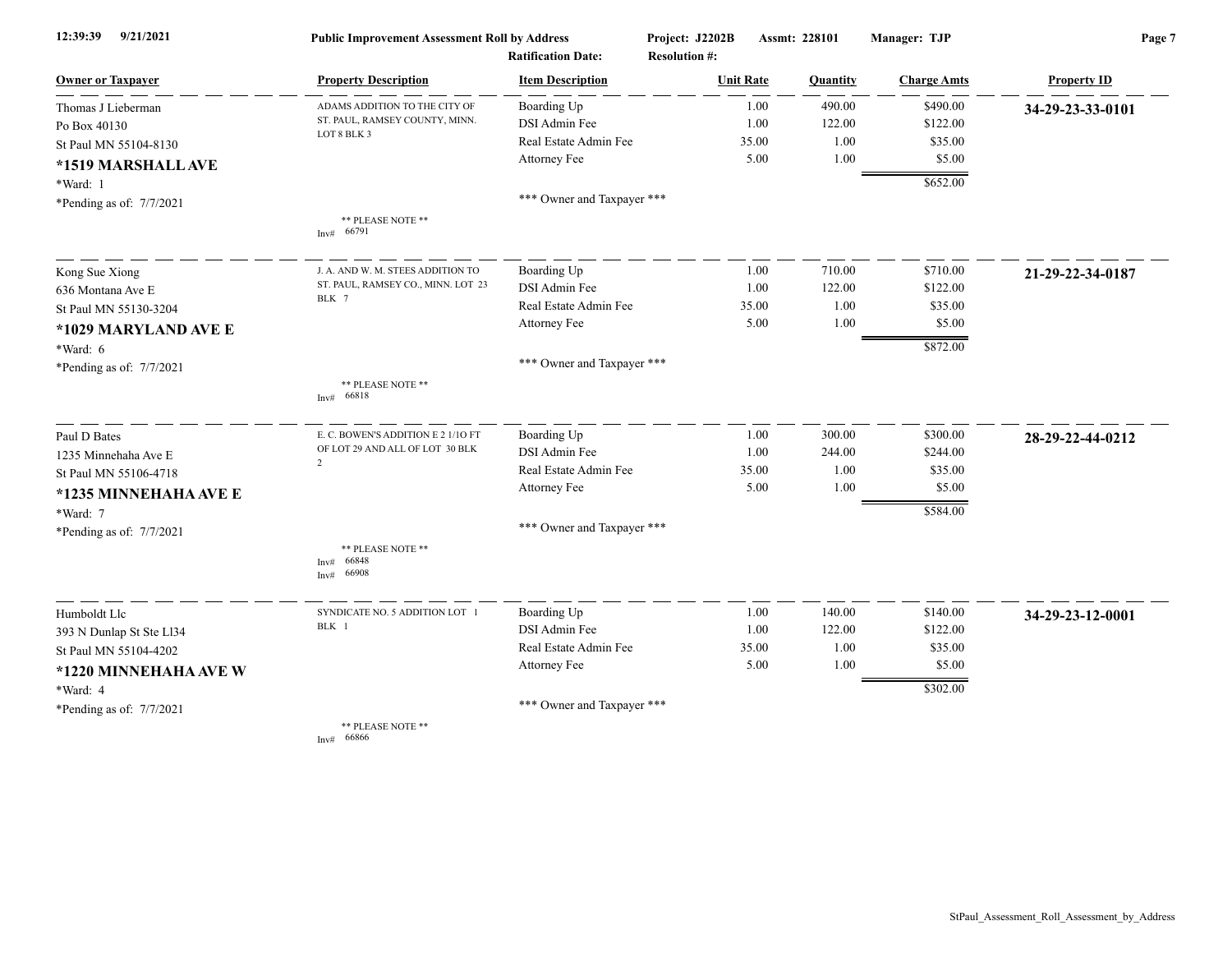| 9/21/2021<br>12:39:39      | <b>Public Improvement Assessment Roll by Address</b><br><b>Ratification Date:</b> |                            | Project: J2202B<br><b>Resolution #:</b> |       | Assmt: 228101 | Manager: TJP       | Page 7             |  |
|----------------------------|-----------------------------------------------------------------------------------|----------------------------|-----------------------------------------|-------|---------------|--------------------|--------------------|--|
| <b>Owner or Taxpayer</b>   | <b>Property Description</b>                                                       | <b>Item Description</b>    | <b>Unit Rate</b>                        |       | Quantity      | <b>Charge Amts</b> | <b>Property ID</b> |  |
| Thomas J Lieberman         | ADAMS ADDITION TO THE CITY OF                                                     | Boarding Up                |                                         | 1.00  | 490.00        | \$490.00           | 34-29-23-33-0101   |  |
| Po Box 40130               | ST. PAUL, RAMSEY COUNTY, MINN.                                                    | DSI Admin Fee              |                                         | 1.00  | 122.00        | \$122.00           |                    |  |
| St Paul MN 55104-8130      | LOT 8 BLK 3                                                                       | Real Estate Admin Fee      |                                         | 35.00 | 1.00          | \$35.00            |                    |  |
| *1519 MARSHALL AVE         |                                                                                   | Attorney Fee               |                                         | 5.00  | 1.00          | \$5.00             |                    |  |
| *Ward: 1                   |                                                                                   |                            |                                         |       |               | \$652.00           |                    |  |
| *Pending as of: $7/7/2021$ |                                                                                   | *** Owner and Taxpayer *** |                                         |       |               |                    |                    |  |
|                            | ** PLEASE NOTE **<br>Inv# 66791                                                   |                            |                                         |       |               |                    |                    |  |
| Kong Sue Xiong             | J. A. AND W. M. STEES ADDITION TO                                                 | Boarding Up                |                                         | 1.00  | 710.00        | \$710.00           | 21-29-22-34-0187   |  |
| 636 Montana Ave E          | ST. PAUL, RAMSEY CO., MINN. LOT 23                                                | DSI Admin Fee              |                                         | 1.00  | 122.00        | \$122.00           |                    |  |
| St Paul MN 55130-3204      | BLK 7                                                                             | Real Estate Admin Fee      |                                         | 35.00 | 1.00          | \$35.00            |                    |  |
| *1029 MARYLAND AVE E       |                                                                                   | Attorney Fee               |                                         | 5.00  | 1.00          | \$5.00             |                    |  |
| *Ward: 6                   |                                                                                   |                            |                                         |       |               | \$872.00           |                    |  |
| *Pending as of: 7/7/2021   |                                                                                   | *** Owner and Taxpayer *** |                                         |       |               |                    |                    |  |
|                            | ** PLEASE NOTE **<br>66818<br>Inv#                                                |                            |                                         |       |               |                    |                    |  |
| Paul D Bates               | E. C. BOWEN'S ADDITION E 2 1/10 FT                                                | Boarding Up                |                                         | 1.00  | 300.00        | \$300.00           | 28-29-22-44-0212   |  |
| 1235 Minnehaha Ave E       | OF LOT 29 AND ALL OF LOT 30 BLK<br>2                                              | DSI Admin Fee              |                                         | 1.00  | 244.00        | \$244.00           |                    |  |
| St Paul MN 55106-4718      |                                                                                   | Real Estate Admin Fee      |                                         | 35.00 | 1.00          | \$35.00            |                    |  |
| *1235 MINNEHAHA AVE E      |                                                                                   | <b>Attorney Fee</b>        |                                         | 5.00  | 1.00          | \$5.00             |                    |  |
| *Ward: 7                   |                                                                                   |                            |                                         |       |               | \$584.00           |                    |  |
| *Pending as of: 7/7/2021   |                                                                                   | *** Owner and Taxpayer *** |                                         |       |               |                    |                    |  |
|                            | ** PLEASE NOTE **<br>66848<br>Inv#<br>66908<br>Inv#                               |                            |                                         |       |               |                    |                    |  |
| Humboldt Llc               | SYNDICATE NO. 5 ADDITION LOT 1                                                    | Boarding Up                |                                         | 1.00  | 140.00        | \$140.00           | 34-29-23-12-0001   |  |
| 393 N Dunlap St Ste Ll34   | BLK 1                                                                             | DSI Admin Fee              |                                         | 1.00  | 122.00        | \$122.00           |                    |  |
| St Paul MN 55104-4202      |                                                                                   | Real Estate Admin Fee      |                                         | 35.00 | 1.00          | \$35.00            |                    |  |
| *1220 MINNEHAHA AVE W      |                                                                                   | Attorney Fee               |                                         | 5.00  | 1.00          | \$5.00             |                    |  |
| *Ward: 4                   |                                                                                   |                            |                                         |       |               | \$302.00           |                    |  |
| *Pending as of: $7/7/2021$ |                                                                                   | *** Owner and Taxpayer *** |                                         |       |               |                    |                    |  |
|                            | ** PLEASE NOTE **<br>Inv# 66866                                                   |                            |                                         |       |               |                    |                    |  |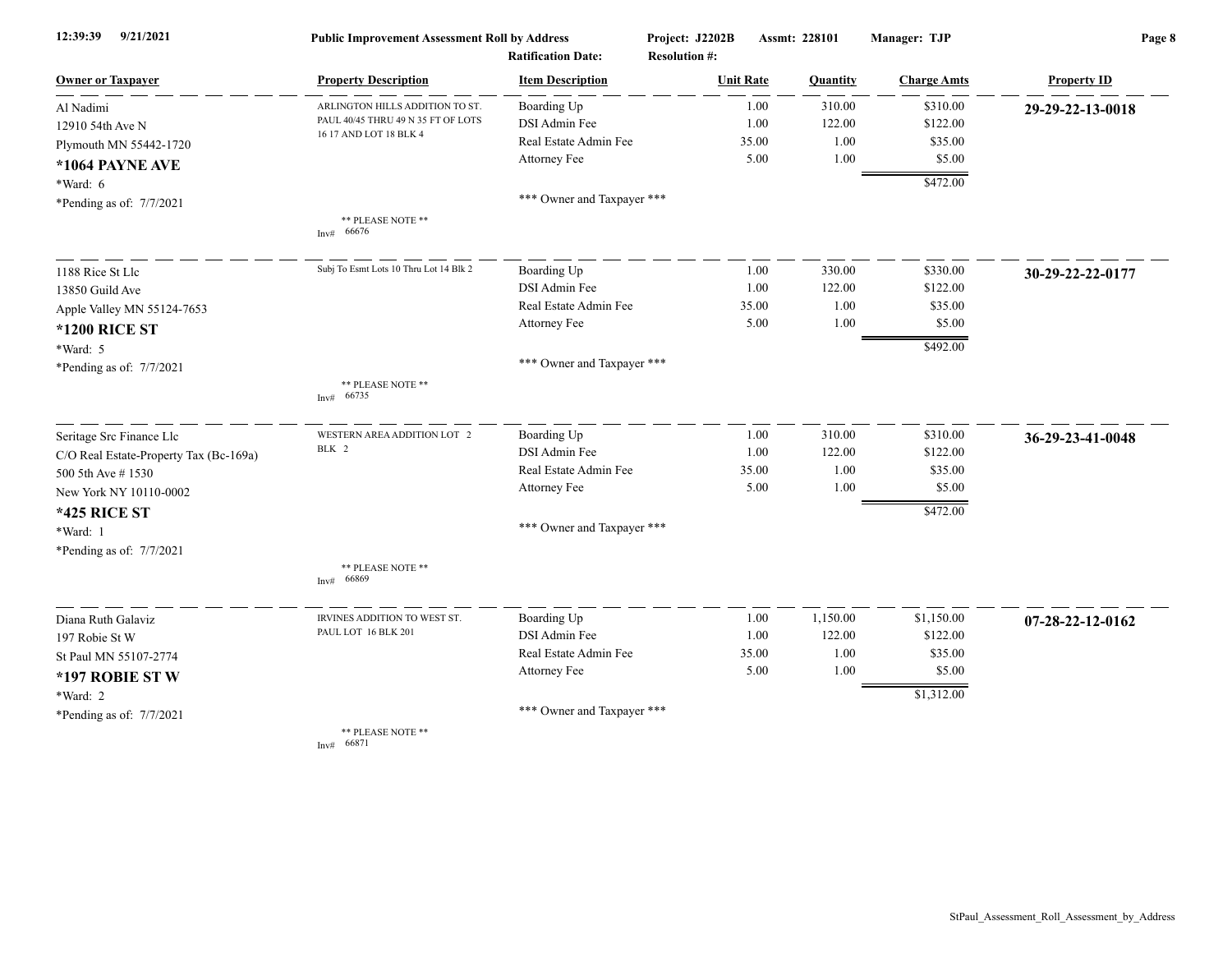| 9/21/2021<br>12:39:39                  | <b>Public Improvement Assessment Roll by Address</b><br><b>Ratification Date:</b> |                            | Project: J2202B<br><b>Resolution #:</b> |                  | Assmt: 228101 | Manager: TJP       | Page 8                     |  |
|----------------------------------------|-----------------------------------------------------------------------------------|----------------------------|-----------------------------------------|------------------|---------------|--------------------|----------------------------|--|
| <b>Owner or Taxpayer</b>               | <b>Property Description</b>                                                       | <b>Item Description</b>    |                                         | <b>Unit Rate</b> | Quantity      | <b>Charge Amts</b> | <b>Property ID</b>         |  |
| Al Nadimi                              | ARLINGTON HILLS ADDITION TO ST.                                                   | Boarding Up                |                                         | 1.00             | 310.00        | \$310.00           | 29-29-22-13-0018           |  |
| 12910 54th Ave N                       | PAUL 40/45 THRU 49 N 35 FT OF LOTS                                                | DSI Admin Fee              |                                         | 1.00             | 122.00        | \$122.00           |                            |  |
| Plymouth MN 55442-1720                 | 16 17 AND LOT 18 BLK 4                                                            | Real Estate Admin Fee      |                                         | 35.00            | 1.00          | \$35.00            |                            |  |
| *1064 PAYNE AVE                        |                                                                                   | Attorney Fee               |                                         | 5.00             | 1.00          | \$5.00             |                            |  |
| *Ward: 6                               |                                                                                   |                            |                                         |                  |               | \$472.00           |                            |  |
| *Pending as of: 7/7/2021               |                                                                                   | *** Owner and Taxpayer *** |                                         |                  |               |                    |                            |  |
|                                        | ** PLEASE NOTE **<br>Inv# 66676                                                   |                            |                                         |                  |               |                    |                            |  |
| 1188 Rice St Llc                       | Subj To Esmt Lots 10 Thru Lot 14 Blk 2                                            | Boarding Up                |                                         | 1.00             | 330.00        | \$330.00           | 30-29-22-22-0177           |  |
| 13850 Guild Ave                        |                                                                                   | DSI Admin Fee              |                                         | 1.00             | 122.00        | \$122.00           |                            |  |
| Apple Valley MN 55124-7653             |                                                                                   | Real Estate Admin Fee      |                                         | 35.00            | 1.00          | \$35.00            |                            |  |
| <b>*1200 RICE ST</b>                   |                                                                                   | Attorney Fee               |                                         | 5.00             | 1.00          | \$5.00             |                            |  |
| *Ward: 5                               |                                                                                   |                            |                                         |                  |               | \$492.00           |                            |  |
| *Pending as of: 7/7/2021               |                                                                                   | *** Owner and Taxpayer *** |                                         |                  |               |                    |                            |  |
|                                        | ** PLEASE NOTE **<br>66735<br>Inv#                                                |                            |                                         |                  |               |                    |                            |  |
| Seritage Src Finance Llc               | WESTERN AREA ADDITION LOT 2                                                       | Boarding Up                |                                         | 1.00             | 310.00        | \$310.00           | 36-29-23-41-0048           |  |
| C/O Real Estate-Property Tax (Bc-169a) | BLK 2                                                                             | DSI Admin Fee              |                                         | 1.00             | 122.00        | \$122.00           |                            |  |
| 500 5th Ave #1530                      |                                                                                   | Real Estate Admin Fee      |                                         | 35.00            | 1.00          | \$35.00            |                            |  |
| New York NY 10110-0002                 |                                                                                   | Attorney Fee               |                                         | 5.00             | 1.00          | \$5.00             |                            |  |
| <b>*425 RICE ST</b>                    |                                                                                   |                            |                                         |                  |               | \$472.00           |                            |  |
| *Ward: 1                               |                                                                                   | *** Owner and Taxpayer *** |                                         |                  |               |                    |                            |  |
| *Pending as of: 7/7/2021               | ** PLEASE NOTE **                                                                 |                            |                                         |                  |               |                    |                            |  |
|                                        | 66869<br>Inv#                                                                     |                            |                                         |                  |               |                    |                            |  |
| Diana Ruth Galaviz                     | IRVINES ADDITION TO WEST ST.                                                      | Boarding Up                |                                         | 1.00             | 1,150.00      | \$1,150.00         | $07 - 28 - 22 - 12 - 0162$ |  |
| 197 Robie St W                         | PAUL LOT 16 BLK 201                                                               | DSI Admin Fee              |                                         | 1.00             | 122.00        | \$122.00           |                            |  |
| St Paul MN 55107-2774                  |                                                                                   | Real Estate Admin Fee      |                                         | 35.00            | 1.00          | \$35.00            |                            |  |
| *197 ROBIE STW                         |                                                                                   | Attorney Fee               |                                         | 5.00             | 1.00          | \$5.00             |                            |  |
| *Ward: 2                               |                                                                                   |                            |                                         |                  |               | \$1,312.00         |                            |  |
| *Pending as of: 7/7/2021               |                                                                                   | *** Owner and Taxpayer *** |                                         |                  |               |                    |                            |  |
|                                        | ** PLEASE NOTE **<br>Inv# 66871                                                   |                            |                                         |                  |               |                    |                            |  |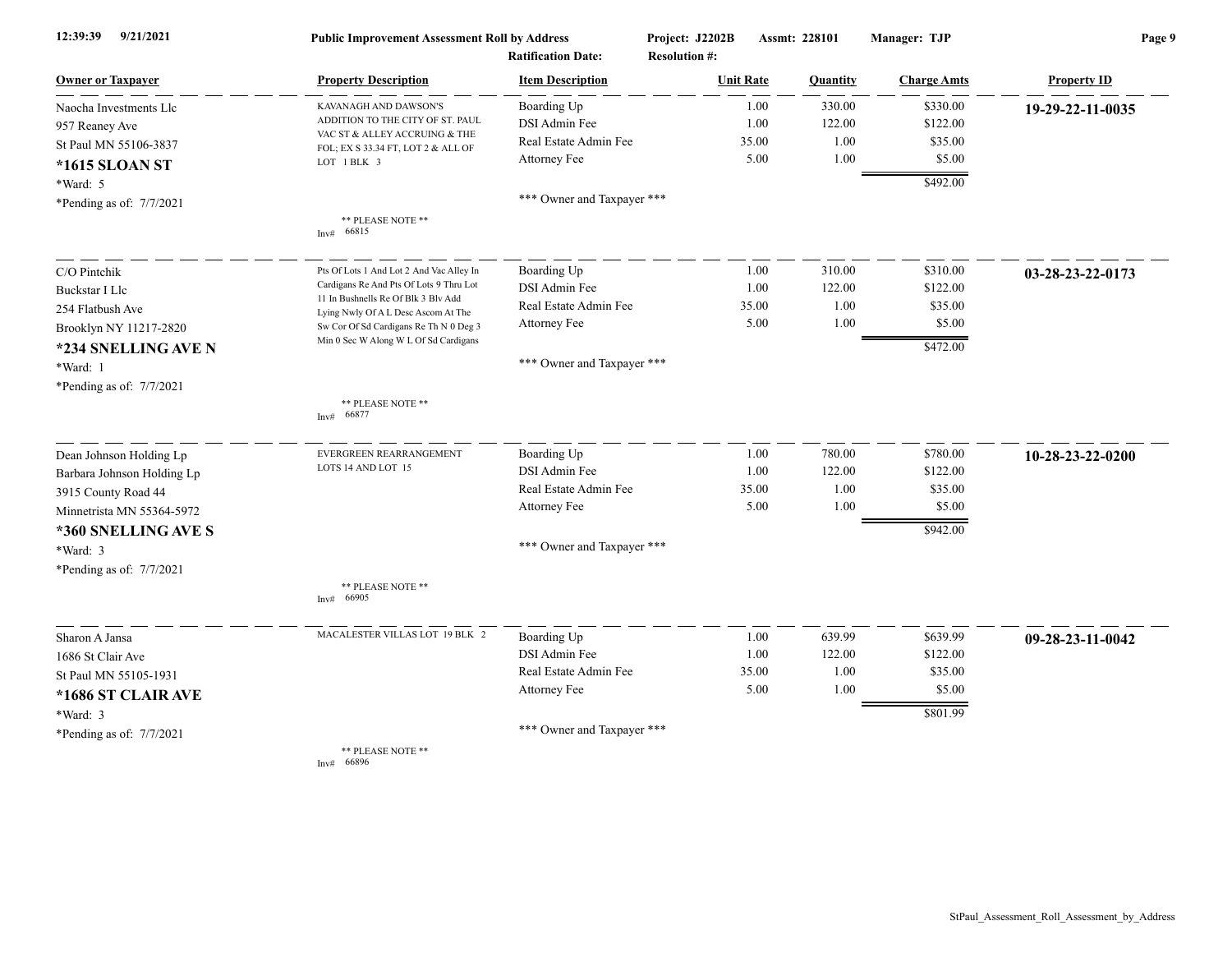| 12:39:39<br>9/21/2021      | <b>Public Improvement Assessment Roll by Address</b><br><b>Ratification Date:</b> |                            | Project: J2202B<br><b>Resolution #:</b> | Assmt: 228101   |                    | Page 9             |  |
|----------------------------|-----------------------------------------------------------------------------------|----------------------------|-----------------------------------------|-----------------|--------------------|--------------------|--|
| <b>Owner or Taxpayer</b>   | <b>Property Description</b>                                                       | <b>Item Description</b>    | <b>Unit Rate</b>                        | <b>Quantity</b> | <b>Charge Amts</b> | <b>Property ID</b> |  |
| Naocha Investments Llc     | KAVANAGH AND DAWSON'S                                                             | Boarding Up                | 1.00                                    | 330.00          | \$330.00           | 19-29-22-11-0035   |  |
| 957 Reaney Ave             | ADDITION TO THE CITY OF ST. PAUL                                                  | DSI Admin Fee              | 1.00                                    | 122.00          | \$122.00           |                    |  |
| St Paul MN 55106-3837      | VAC ST & ALLEY ACCRUING & THE<br>FOL; EX S 33.34 FT, LOT 2 & ALL OF               | Real Estate Admin Fee      | 35.00                                   | 1.00            | \$35.00            |                    |  |
| *1615 SLOAN ST             | LOT 1 BLK 3                                                                       | Attorney Fee               | 5.00                                    | 1.00            | \$5.00             |                    |  |
| *Ward: 5                   |                                                                                   |                            |                                         |                 | \$492.00           |                    |  |
| *Pending as of: 7/7/2021   |                                                                                   | *** Owner and Taxpayer *** |                                         |                 |                    |                    |  |
|                            | ** PLEASE NOTE **<br>66815<br>Inv#                                                |                            |                                         |                 |                    |                    |  |
| C/O Pintchik               | Pts Of Lots 1 And Lot 2 And Vac Alley In                                          | Boarding Up                | 1.00                                    | 310.00          | \$310.00           | 03-28-23-22-0173   |  |
| <b>Buckstar I Llc</b>      | Cardigans Re And Pts Of Lots 9 Thru Lot                                           | DSI Admin Fee              | 1.00                                    | 122.00          | \$122.00           |                    |  |
| 254 Flatbush Ave           | 11 In Bushnells Re Of Blk 3 Blv Add<br>Lying Nwly Of A L Desc Ascom At The        | Real Estate Admin Fee      | 35.00                                   | 1.00            | \$35.00            |                    |  |
| Brooklyn NY 11217-2820     | Sw Cor Of Sd Cardigans Re Th N 0 Deg 3                                            | Attorney Fee               | 5.00                                    | 1.00            | \$5.00             |                    |  |
| *234 SNELLING AVE N        | Min 0 Sec W Along W L Of Sd Cardigans                                             |                            |                                         |                 | \$472.00           |                    |  |
| *Ward: 1                   |                                                                                   | *** Owner and Taxpayer *** |                                         |                 |                    |                    |  |
| *Pending as of: 7/7/2021   |                                                                                   |                            |                                         |                 |                    |                    |  |
|                            | ** PLEASE NOTE **<br>66877<br>Inv#                                                |                            |                                         |                 |                    |                    |  |
| Dean Johnson Holding Lp    | EVERGREEN REARRANGEMENT                                                           | Boarding Up                | 1.00                                    | 780.00          | \$780.00           | 10-28-23-22-0200   |  |
| Barbara Johnson Holding Lp | LOTS 14 AND LOT 15                                                                | DSI Admin Fee              | 1.00                                    | 122.00          | \$122.00           |                    |  |
| 3915 County Road 44        |                                                                                   | Real Estate Admin Fee      | 35.00                                   | 1.00            | \$35.00            |                    |  |
| Minnetrista MN 55364-5972  |                                                                                   | Attorney Fee               | 5.00                                    | 1.00            | \$5.00             |                    |  |
| *360 SNELLING AVE S        |                                                                                   |                            |                                         |                 | \$942.00           |                    |  |
| *Ward: 3                   |                                                                                   | *** Owner and Taxpayer *** |                                         |                 |                    |                    |  |
| *Pending as of: 7/7/2021   |                                                                                   |                            |                                         |                 |                    |                    |  |
|                            | ** PLEASE NOTE **<br>66905<br>Inv#                                                |                            |                                         |                 |                    |                    |  |
| Sharon A Jansa             | MACALESTER VILLAS LOT 19 BLK 2                                                    | Boarding Up                | 1.00                                    | 639.99          | \$639.99           | 09-28-23-11-0042   |  |
| 1686 St Clair Ave          |                                                                                   | DSI Admin Fee              | 1.00                                    | 122.00          | \$122.00           |                    |  |
| St Paul MN 55105-1931      |                                                                                   | Real Estate Admin Fee      | 35.00                                   | 1.00            | \$35.00            |                    |  |
| *1686 ST CLAIR AVE         |                                                                                   | Attorney Fee               | 5.00                                    | 1.00            | \$5.00             |                    |  |
| *Ward: 3                   |                                                                                   |                            |                                         |                 | \$801.99           |                    |  |
| *Pending as of: 7/7/2021   |                                                                                   | *** Owner and Taxpayer *** |                                         |                 |                    |                    |  |
|                            | ** PLEASE NOTE **<br>Inv# $66896$                                                 |                            |                                         |                 |                    |                    |  |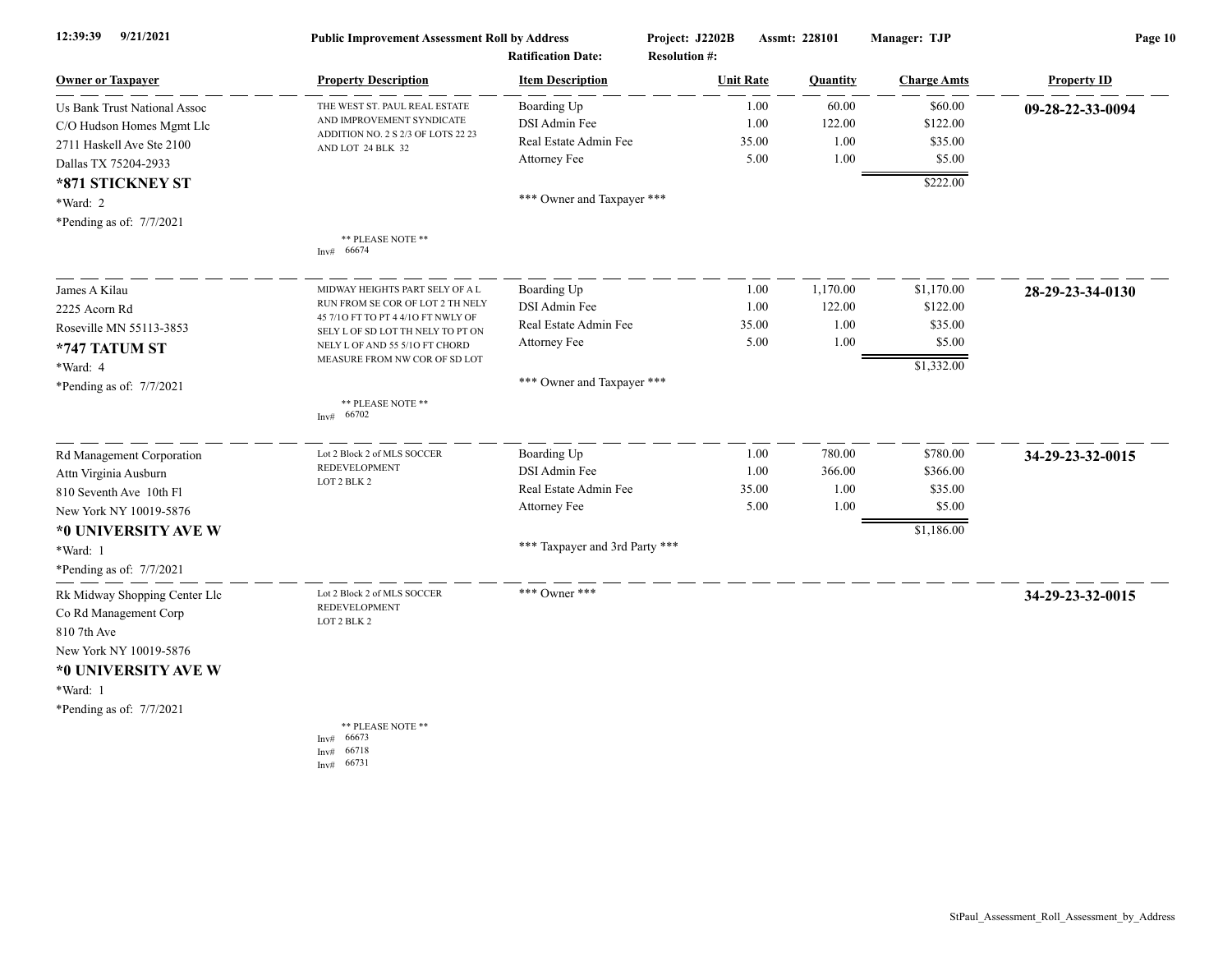| 12:39:39<br>9/21/2021         | <b>Public Improvement Assessment Roll by Address</b><br><b>Ratification Date:</b> |                                | Project: J2202B<br>Assmt: 228101<br><b>Resolution #:</b> |       | Manager: TJP | Page 10            |                    |
|-------------------------------|-----------------------------------------------------------------------------------|--------------------------------|----------------------------------------------------------|-------|--------------|--------------------|--------------------|
| <b>Owner or Taxpayer</b>      | <b>Property Description</b>                                                       | <b>Item Description</b>        | <b>Unit Rate</b>                                         |       | Quantity     | <b>Charge Amts</b> | <b>Property ID</b> |
| Us Bank Trust National Assoc  | THE WEST ST. PAUL REAL ESTATE                                                     | Boarding Up                    |                                                          | 1.00  | 60.00        | \$60.00            | 09-28-22-33-0094   |
| C/O Hudson Homes Mgmt Llc     | AND IMPROVEMENT SYNDICATE                                                         | DSI Admin Fee                  |                                                          | 1.00  | 122.00       | \$122.00           |                    |
| 2711 Haskell Ave Ste 2100     | ADDITION NO. 2 S 2/3 OF LOTS 22 23<br>AND LOT 24 BLK 32                           | Real Estate Admin Fee          |                                                          | 35.00 | 1.00         | \$35.00            |                    |
| Dallas TX 75204-2933          |                                                                                   | Attorney Fee                   |                                                          | 5.00  | 1.00         | \$5.00             |                    |
| *871 STICKNEY ST              |                                                                                   |                                |                                                          |       |              | \$222.00           |                    |
| *Ward: 2                      |                                                                                   | *** Owner and Taxpayer ***     |                                                          |       |              |                    |                    |
| *Pending as of: 7/7/2021      |                                                                                   |                                |                                                          |       |              |                    |                    |
|                               | ** PLEASE NOTE **<br>Inv# 66674                                                   |                                |                                                          |       |              |                    |                    |
| James A Kilau                 | MIDWAY HEIGHTS PART SELY OF A L                                                   | Boarding Up                    |                                                          | 1.00  | 1,170.00     | \$1,170.00         | 28-29-23-34-0130   |
| 2225 Acorn Rd                 | RUN FROM SE COR OF LOT 2 TH NELY                                                  | DSI Admin Fee                  |                                                          | 1.00  | 122.00       | \$122.00           |                    |
| Roseville MN 55113-3853       | 45 7/10 FT TO PT 4 4/10 FT NWLY OF<br>SELY L OF SD LOT TH NELY TO PT ON           | Real Estate Admin Fee          |                                                          | 35.00 | 1.00         | \$35.00            |                    |
| *747 TATUM ST                 | NELY L OF AND 55 5/10 FT CHORD                                                    | Attorney Fee                   |                                                          | 5.00  | 1.00         | \$5.00             |                    |
| *Ward: 4                      | MEASURE FROM NW COR OF SD LOT                                                     |                                |                                                          |       |              | \$1,332.00         |                    |
| *Pending as of: 7/7/2021      |                                                                                   | *** Owner and Taxpayer ***     |                                                          |       |              |                    |                    |
|                               | ** PLEASE NOTE **<br>66702<br>Inv#                                                |                                |                                                          |       |              |                    |                    |
| Rd Management Corporation     | Lot 2 Block 2 of MLS SOCCER                                                       | Boarding Up                    |                                                          | 1.00  | 780.00       | \$780.00           | 34-29-23-32-0015   |
| Attn Virginia Ausburn         | REDEVELOPMENT                                                                     | DSI Admin Fee                  |                                                          | 1.00  | 366.00       | \$366.00           |                    |
| 810 Seventh Ave 10th Fl       | LOT 2 BLK 2                                                                       | Real Estate Admin Fee          |                                                          | 35.00 | 1.00         | \$35.00            |                    |
| New York NY 10019-5876        |                                                                                   | Attorney Fee                   |                                                          | 5.00  | 1.00         | \$5.00             |                    |
| *0 UNIVERSITY AVE W           |                                                                                   |                                |                                                          |       |              | \$1,186.00         |                    |
| *Ward: 1                      |                                                                                   | *** Taxpayer and 3rd Party *** |                                                          |       |              |                    |                    |
| *Pending as of: 7/7/2021      |                                                                                   |                                |                                                          |       |              |                    |                    |
| Rk Midway Shopping Center Llc | Lot 2 Block 2 of MLS SOCCER                                                       | *** Owner ***                  |                                                          |       |              |                    | 34-29-23-32-0015   |
| Co Rd Management Corp         | <b>REDEVELOPMENT</b>                                                              |                                |                                                          |       |              |                    |                    |
| 810 7th Ave                   | LOT 2 BLK 2                                                                       |                                |                                                          |       |              |                    |                    |
| New York NY 10019-5876        |                                                                                   |                                |                                                          |       |              |                    |                    |
| *0 UNIVERSITY AVE W           |                                                                                   |                                |                                                          |       |              |                    |                    |
| *Ward: 1                      |                                                                                   |                                |                                                          |       |              |                    |                    |
| *Pending as of: 7/7/2021      |                                                                                   |                                |                                                          |       |              |                    |                    |
|                               | ** PLEASE NOTE **<br>66673<br>Inv#<br>66718<br>Inv#<br>66731<br>Inv#              |                                |                                                          |       |              |                    |                    |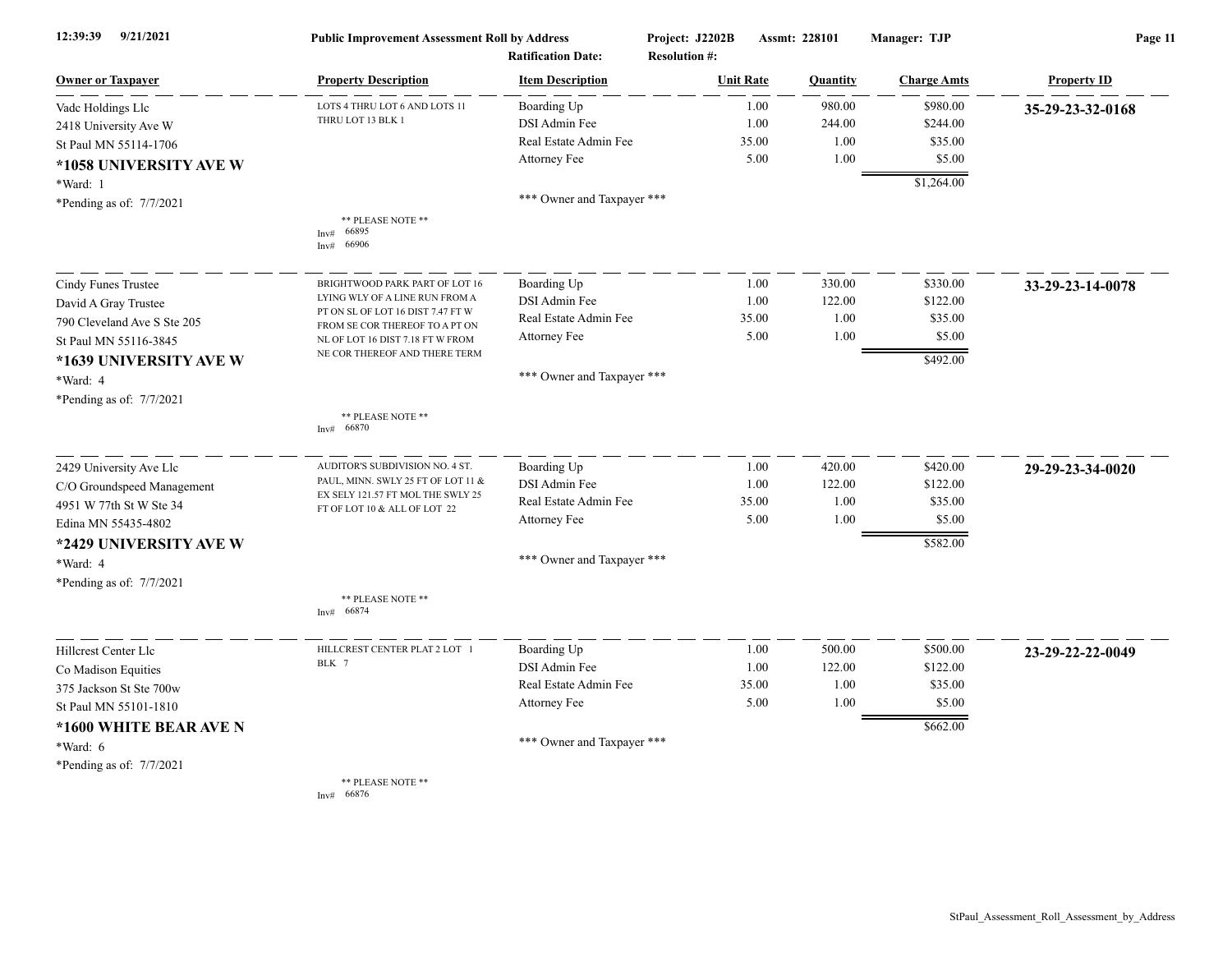| 12:39:39<br>9/21/2021       | <b>Public Improvement Assessment Roll by Address</b>              |                                                      | Project: J2202B<br>Assmt: 228101         |               | Manager: TJP   | Page 11             |                    |
|-----------------------------|-------------------------------------------------------------------|------------------------------------------------------|------------------------------------------|---------------|----------------|---------------------|--------------------|
| <b>Owner or Taxpayer</b>    | <b>Property Description</b>                                       | <b>Ratification Date:</b><br><b>Item Description</b> | <b>Resolution #:</b><br><b>Unit Rate</b> |               | Quantity       | <b>Charge Amts</b>  | <b>Property ID</b> |
|                             |                                                                   |                                                      |                                          |               |                |                     |                    |
| Vade Holdings Lle           | LOTS 4 THRU LOT 6 AND LOTS 11<br>THRU LOT 13 BLK 1                | Boarding Up<br>DSI Admin Fee                         |                                          | 1.00          | 980.00         | \$980.00            | 35-29-23-32-0168   |
| 2418 University Ave W       |                                                                   | Real Estate Admin Fee                                |                                          | 1.00<br>35.00 | 244.00<br>1.00 | \$244.00<br>\$35.00 |                    |
| St Paul MN 55114-1706       |                                                                   | Attorney Fee                                         |                                          | 5.00          | 1.00           | \$5.00              |                    |
| *1058 UNIVERSITY AVE W      |                                                                   |                                                      |                                          |               |                |                     |                    |
| *Ward: 1                    |                                                                   |                                                      |                                          |               |                | \$1,264.00          |                    |
| *Pending as of: 7/7/2021    |                                                                   | *** Owner and Taxpayer ***                           |                                          |               |                |                     |                    |
|                             | ** PLEASE NOTE **<br>66895<br>Inv#<br>66906<br>Inv#               |                                                      |                                          |               |                |                     |                    |
|                             |                                                                   |                                                      |                                          |               |                |                     |                    |
| Cindy Funes Trustee         | BRIGHTWOOD PARK PART OF LOT 16<br>LYING WLY OF A LINE RUN FROM A  | Boarding Up                                          |                                          | 1.00          | 330.00         | \$330.00            | 33-29-23-14-0078   |
| David A Gray Trustee        | PT ON SL OF LOT 16 DIST 7.47 FT W                                 | DSI Admin Fee                                        |                                          | 1.00          | 122.00         | \$122.00            |                    |
| 790 Cleveland Ave S Ste 205 | FROM SE COR THEREOF TO A PT ON                                    | Real Estate Admin Fee                                |                                          | 35.00         | 1.00           | \$35.00             |                    |
| St Paul MN 55116-3845       | NL OF LOT 16 DIST 7.18 FT W FROM                                  | Attorney Fee                                         |                                          | 5.00          | 1.00           | \$5.00              |                    |
| *1639 UNIVERSITY AVE W      | NE COR THEREOF AND THERE TERM                                     |                                                      |                                          |               |                | \$492.00            |                    |
| *Ward: 4                    |                                                                   | *** Owner and Taxpayer ***                           |                                          |               |                |                     |                    |
| *Pending as of: 7/7/2021    |                                                                   |                                                      |                                          |               |                |                     |                    |
|                             | ** PLEASE NOTE **<br>66870<br>Inv#                                |                                                      |                                          |               |                |                     |                    |
| 2429 University Ave Llc     | AUDITOR'S SUBDIVISION NO. 4 ST.                                   | Boarding Up                                          |                                          | 1.00          | 420.00         | \$420.00            | 29-29-23-34-0020   |
| C/O Groundspeed Management  | PAUL, MINN. SWLY 25 FT OF LOT 11 &                                | DSI Admin Fee                                        |                                          | 1.00          | 122.00         | \$122.00            |                    |
| 4951 W 77th St W Ste 34     | EX SELY 121.57 FT MOL THE SWLY 25<br>FT OF LOT 10 & ALL OF LOT 22 | Real Estate Admin Fee                                |                                          | 35.00         | 1.00           | \$35.00             |                    |
| Edina MN 55435-4802         |                                                                   | Attorney Fee                                         |                                          | 5.00          | 1.00           | \$5.00              |                    |
| *2429 UNIVERSITY AVE W      |                                                                   |                                                      |                                          |               |                | \$582.00            |                    |
| *Ward: 4                    |                                                                   | *** Owner and Taxpayer ***                           |                                          |               |                |                     |                    |
| *Pending as of: 7/7/2021    |                                                                   |                                                      |                                          |               |                |                     |                    |
|                             | ** PLEASE NOTE **<br>66874<br>Inv#                                |                                                      |                                          |               |                |                     |                    |
| Hillcrest Center Llc        | HILLCREST CENTER PLAT 2 LOT 1                                     | Boarding Up                                          |                                          | 1.00          | 500.00         | \$500.00            | 23-29-22-22-0049   |
| Co Madison Equities         | BLK 7                                                             | DSI Admin Fee                                        |                                          | 1.00          | 122.00         | \$122.00            |                    |
| 375 Jackson St Ste 700w     |                                                                   | Real Estate Admin Fee                                |                                          | 35.00         | 1.00           | \$35.00             |                    |
| St Paul MN 55101-1810       |                                                                   | Attorney Fee                                         |                                          | 5.00          | 1.00           | \$5.00              |                    |
| *1600 WHITE BEAR AVE N      |                                                                   |                                                      |                                          |               |                | \$662.00            |                    |
| $*Ward: 6$                  |                                                                   | *** Owner and Taxpayer ***                           |                                          |               |                |                     |                    |
|                             |                                                                   |                                                      |                                          |               |                |                     |                    |
| *Pending as of: $7/7/2021$  | ** PLEASE NOTE **                                                 |                                                      |                                          |               |                |                     |                    |